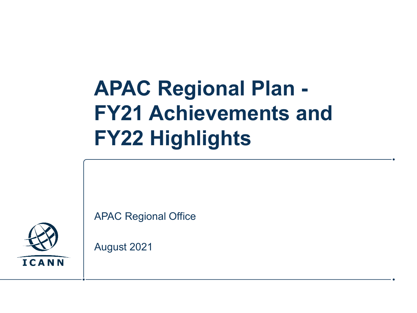# **APAC Regional Plan - FY21 Achievements and FY22 Highlights**

APAC Regional Office



August 2021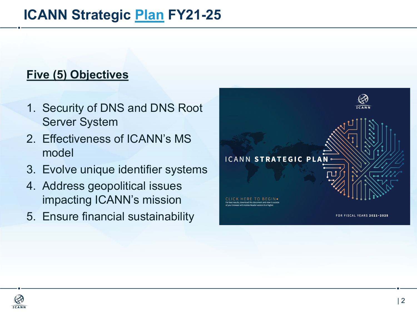#### **ICANN Strategic Plan FY21-25**

#### **Five (5) Objectives**

- 1. Security of DNS and DNS Root Server System
- 2. Effectiveness of ICANN's MS model
- 3. Evolve unique identifier systems
- 4. Address geopolitical issues impacting ICANN's mission
- 5. Ensure financial sustainability



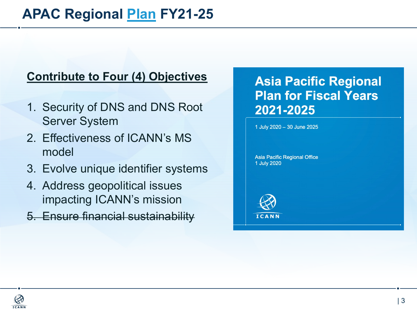#### **APAC Regional Plan FY21-25**

#### **Contribute to Four (4) Objectives**

- 1. Security of DNS and DNS Root Server System
- 2. Effectiveness of ICANN's MS model
- 3. Evolve unique identifier systems
- 4. Address geopolitical issues impacting ICANN's mission
- 5. Ensure financial sustainability

#### **Asia Pacific Regi Plan for Fiscal Yo** 2021-2025

1 July 2020 - 30 June 2025

**Asia Pacific Regional Office** 1 July 2020



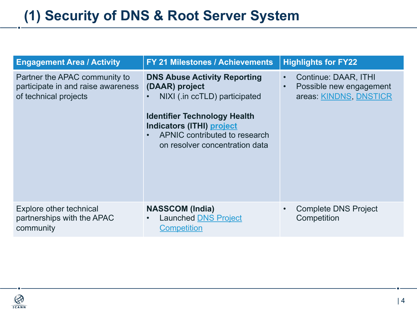# **(1) Security of DNS & Root Server System**

| <b>Engagement Area / Activity</b>                                                            | <b>FY 21 Milestones / Achievements</b>                                                                                                                                                                                               | <b>Highlights for FY22</b>                                                           |
|----------------------------------------------------------------------------------------------|--------------------------------------------------------------------------------------------------------------------------------------------------------------------------------------------------------------------------------------|--------------------------------------------------------------------------------------|
| Partner the APAC community to<br>participate in and raise awareness<br>of technical projects | <b>DNS Abuse Activity Reporting</b><br>(DAAR) project<br>NIXI (.in ccTLD) participated<br><b>Identifier Technology Health</b><br><b>Indicators (ITHI) project</b><br>APNIC contributed to research<br>on resolver concentration data | <b>Continue: DAAR</b><br>$\bullet$<br>Possible new en<br>$\bullet$<br>areas: KINDNS, |
| Explore other technical<br>partnerships with the APAC<br>community                           | <b>NASSCOM (India)</b><br><b>Launched DNS Project</b><br>$\bullet$<br><b>Competition</b>                                                                                                                                             | <b>Complete DNS F</b><br>$\bullet$<br>Competition                                    |

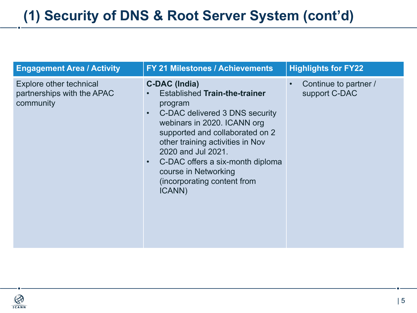| <b>Engagement Area / Activity</b>                                         | <b>FY 21 Milestones / Achievements</b>                                                                                                                                                                                                                                                                                                                               | <b>Highlights for FY22</b>                          |
|---------------------------------------------------------------------------|----------------------------------------------------------------------------------------------------------------------------------------------------------------------------------------------------------------------------------------------------------------------------------------------------------------------------------------------------------------------|-----------------------------------------------------|
| <b>Explore other technical</b><br>partnerships with the APAC<br>community | <b>C-DAC (India)</b><br><b>Established Train-the-trainer</b><br>program<br>C-DAC delivered 3 DNS security<br>$\bullet$<br>webinars in 2020. ICANN org<br>supported and collaborated on 2<br>other training activities in Nov<br>2020 and Jul 2021.<br>C-DAC offers a six-month diploma<br>$\bullet$<br>course in Networking<br>(incorporating content from<br>ICANN) | Continue to partner /<br>$\bullet$<br>support C-DAC |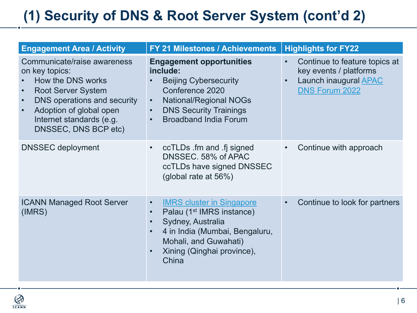# **(1) Security of DNS & Root Server System (cont'd 2)**

| <b>Engagement Area / Activity</b>                                                                                                                                                                                                                    | <b>FY 21 Milestones / Achievements</b>                                                                                                                                                                                                  | <b>Highlights for FY2</b>                                                                                 |
|------------------------------------------------------------------------------------------------------------------------------------------------------------------------------------------------------------------------------------------------------|-----------------------------------------------------------------------------------------------------------------------------------------------------------------------------------------------------------------------------------------|-----------------------------------------------------------------------------------------------------------|
| Communicate/raise awareness<br>on key topics:<br>How the DNS works<br><b>Root Server System</b><br>$\bullet$<br>DNS operations and security<br>$\bullet$<br>Adoption of global open<br>$\bullet$<br>Internet standards (e.g.<br>DNSSEC, DNS BCP etc) | <b>Engagement opportunities</b><br>include:<br><b>Beijing Cybersecurity</b><br>Conference 2020<br><b>National/Regional NOGs</b><br>$\bullet$<br><b>DNS Security Trainings</b><br>$\bullet$<br><b>Broadband India Forum</b><br>$\bullet$ | Continue to feat<br>$\bullet$<br>key events / pla<br>Launch inaugura<br>$\bullet$<br><b>DNS Forum 202</b> |
| <b>DNSSEC</b> deployment                                                                                                                                                                                                                             | ccTLDs .fm and .fj signed<br>DNSSEC. 58% of APAC<br>ccTLDs have signed DNSSEC<br>(global rate at 56%)                                                                                                                                   | Continue with a<br>$\bullet$                                                                              |
| <b>ICANN Managed Root Server</b><br>(IMRS)                                                                                                                                                                                                           | <b>IMRS cluster in Singapore</b><br>$\bullet$<br>Palau (1 <sup>st</sup> IMRS instance)<br>Sydney, Australia<br>4 in India (Mumbai, Bengaluru,<br>Mohali, and Guwahati)<br>Xining (Qinghai province),<br>China                           | Continue to look<br>$\bullet$                                                                             |

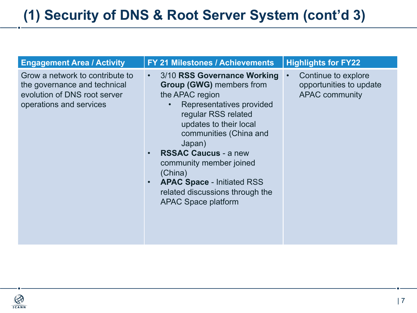| <b>Engagement Area / Activity</b>                                                                                          | <b>FY 21 Milestones / Achievements</b>                                                                                                                                                                                                                                                                                                                                        | <b>Highlights for FY22</b>                                                           |
|----------------------------------------------------------------------------------------------------------------------------|-------------------------------------------------------------------------------------------------------------------------------------------------------------------------------------------------------------------------------------------------------------------------------------------------------------------------------------------------------------------------------|--------------------------------------------------------------------------------------|
| Grow a network to contribute to<br>the governance and technical<br>evolution of DNS root server<br>operations and services | 3/10 RSS Governance Working<br><b>Group (GWG)</b> members from<br>the APAC region<br>Representatives provided<br>regular RSS related<br>updates to their local<br>communities (China and<br>Japan)<br><b>RSSAC Caucus - a new</b><br>community member joined<br>(China)<br><b>APAC Space - Initiated RSS</b><br>related discussions through the<br><b>APAC Space platform</b> | Continue to explore<br>$\bullet$<br>opportunities to update<br><b>APAC community</b> |

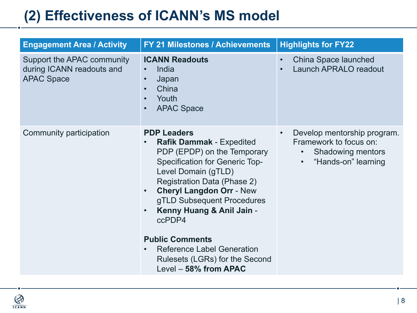## **(2) Effectiveness of ICANN's MS model**

| <b>Engagement Area / Activity</b>                                            | <b>FY 21 Milestones / Achievements</b>                                                                                                                                                                                                                                                                                                                                                                                                    | <b>Highlights for FY22</b>                                                                                            |
|------------------------------------------------------------------------------|-------------------------------------------------------------------------------------------------------------------------------------------------------------------------------------------------------------------------------------------------------------------------------------------------------------------------------------------------------------------------------------------------------------------------------------------|-----------------------------------------------------------------------------------------------------------------------|
| Support the APAC community<br>during ICANN readouts and<br><b>APAC Space</b> | <b>ICANN Readouts</b><br>India<br>$\bullet$<br>Japan<br>$\bullet$<br>China<br>$\bullet$<br>Youth<br>$\bullet$<br><b>APAC Space</b><br>$\bullet$                                                                                                                                                                                                                                                                                           | China Space launched<br><b>Launch APRALO readout</b>                                                                  |
| Community participation                                                      | <b>PDP Leaders</b><br><b>Rafik Dammak - Expedited</b><br>PDP (EPDP) on the Temporary<br><b>Specification for Generic Top-</b><br>Level Domain (gTLD)<br><b>Registration Data (Phase 2)</b><br><b>Cheryl Langdon Orr - New</b><br>$\bullet$<br>gTLD Subsequent Procedures<br>Kenny Huang & Anil Jain -<br>ccPDP4<br><b>Public Comments</b><br><b>Reference Label Generation</b><br>Rulesets (LGRs) for the Second<br>Level - 58% from APAC | Develop mentorship program.<br>Framework to focus on:<br><b>Shadowing mentors</b><br>$\bullet$<br>"Hands-on" learning |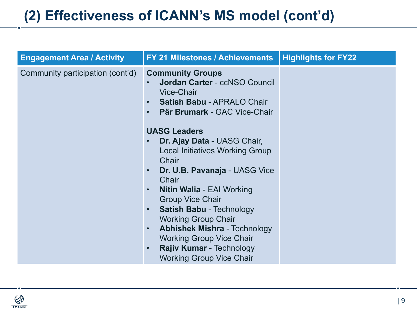#### **(2) Effectiveness of ICANN's MS model (cont'd)**

| <b>Engagement Area / Activity</b> | <b>FY 21 Milestones / Achievements</b>                                                                                                                                                                                                                                                                                                                                                                                                                | <b>Highlights for FY22</b> |
|-----------------------------------|-------------------------------------------------------------------------------------------------------------------------------------------------------------------------------------------------------------------------------------------------------------------------------------------------------------------------------------------------------------------------------------------------------------------------------------------------------|----------------------------|
| Community participation (cont'd)  | <b>Community Groups</b><br>Jordan Carter - ccNSO Council<br><b>Vice-Chair</b><br>Satish Babu - APRALO Chair<br>Pär Brumark - GAC Vice-Chair<br><b>UASG Leaders</b>                                                                                                                                                                                                                                                                                    |                            |
|                                   | Dr. Ajay Data - UASG Chair,<br><b>Local Initiatives Working Group</b><br>Chair<br>Dr. U.B. Pavanaja - UASG Vice<br>$\bullet$<br>Chair<br><b>Nitin Walia - EAI Working</b><br>$\bullet$<br><b>Group Vice Chair</b><br><b>Satish Babu - Technology</b><br>$\bullet$<br><b>Working Group Chair</b><br><b>Abhishek Mishra - Technology</b><br>$\bullet$<br><b>Working Group Vice Chair</b><br>Rajiv Kumar - Technology<br><b>Working Group Vice Chair</b> |                            |

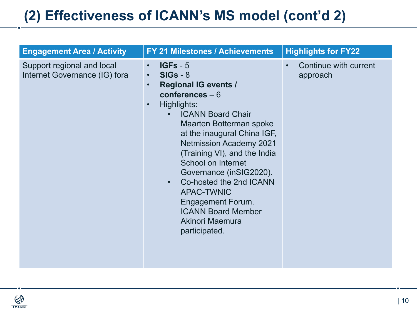## **(2) Effectiveness of ICANN's MS model (cont'd 2)**

| <b>Engagement Area / Activity</b>                           | <b>FY 21 Milestones / Achievements</b>                                                                                                                                                                                                                                                                                                                                                                                                                                                                            | <b>Highlights for FY22</b>                     |
|-------------------------------------------------------------|-------------------------------------------------------------------------------------------------------------------------------------------------------------------------------------------------------------------------------------------------------------------------------------------------------------------------------------------------------------------------------------------------------------------------------------------------------------------------------------------------------------------|------------------------------------------------|
| Support regional and local<br>Internet Governance (IG) fora | $IGFs - 5$<br>$\bullet$<br>$SIGs - 8$<br>$\bullet$<br><b>Regional IG events /</b><br>$\bullet$<br>conferences $-6$<br>Highlights:<br>$\bullet$<br><b>ICANN Board Chair</b><br>$\bullet$<br>Maarten Botterman spoke<br>at the inaugural China IGF,<br><b>Netmission Academy 2021</b><br>(Training VI), and the India<br>School on Internet<br>Governance (inSIG2020).<br>Co-hosted the 2nd ICANN<br><b>APAC-TWNIC</b><br><b>Engagement Forum.</b><br><b>ICANN Board Member</b><br>Akinori Maemura<br>participated. | Continue with current<br>$\bullet$<br>approach |

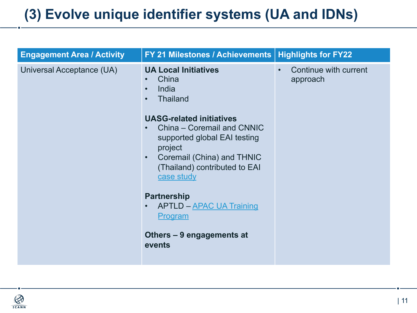## **(3) Evolve unique identifier systems (UA and IDNs)**

| <b>Engagement Area / Activity</b> | <b>FY 21 Milestones / Achievements  </b>                                                                                                                                                                                                                                                                                                                                                                                 | <b>Highlights for FY22</b>     |
|-----------------------------------|--------------------------------------------------------------------------------------------------------------------------------------------------------------------------------------------------------------------------------------------------------------------------------------------------------------------------------------------------------------------------------------------------------------------------|--------------------------------|
| Universal Acceptance (UA)         | <b>UA Local Initiatives</b><br>China<br>India<br>$\bullet$<br><b>Thailand</b><br>$\bullet$<br><b>UASG-related initiatives</b><br>China – Coremail and CNNIC<br>supported global EAI testing<br>project<br>Coremail (China) and THNIC<br>$\bullet$<br>(Thailand) contributed to EAI<br>case study<br><b>Partnership</b><br><b>APTLD - APAC UA Training</b><br>$\bullet$<br>Program<br>Others - 9 engagements at<br>events | Continue with curi<br>approach |

 $\bigotimes_{T \subseteq ANN}$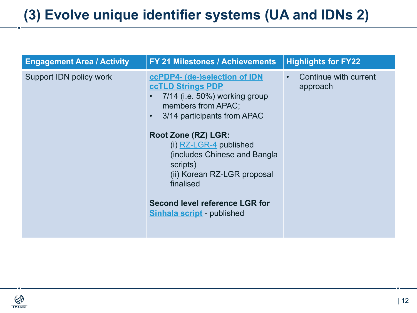#### **(3) Evolve unique identifier systems (UA and IDNs 2)**

| <b>Engagement Area / Activity</b> | <b>FY 21 Milestones / Achievements</b>                                                                                                                                                                                                                                                                                                                             | <b>Highlights for FY2</b>                |
|-----------------------------------|--------------------------------------------------------------------------------------------------------------------------------------------------------------------------------------------------------------------------------------------------------------------------------------------------------------------------------------------------------------------|------------------------------------------|
| Support IDN policy work           | ccPDP4- (de-)selection of IDN<br><b>ccTLD Strings PDP</b><br>7/14 (i.e. 50%) working group<br>members from APAC;<br>3/14 participants from APAC<br>Root Zone (RZ) LGR:<br>(i) $RZ$ -LGR-4 published<br>(includes Chinese and Bangla<br>scripts)<br>(ii) Korean RZ-LGR proposal<br>finalised<br>Second level reference LGR for<br><b>Sinhala script</b> - published | Continue with c<br>$\bullet$<br>approach |

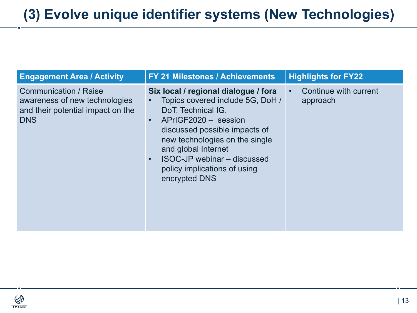| <b>Engagement Area / Activity</b>                                                                                | <b>FY 21 Milestones / Achievements</b>                                                                                                                                                                                                                                                                                                  | <b>Highlights for FY22</b>        |
|------------------------------------------------------------------------------------------------------------------|-----------------------------------------------------------------------------------------------------------------------------------------------------------------------------------------------------------------------------------------------------------------------------------------------------------------------------------------|-----------------------------------|
| <b>Communication / Raise</b><br>awareness of new technologies<br>and their potential impact on the<br><b>DNS</b> | Six local / regional dialogue / fora<br>Topics covered include 5G, DoH /<br>$\bullet$<br>DoT, Technical IG.<br>APrIGF2020 - session<br>$\bullet$<br>discussed possible impacts of<br>new technologies on the single<br>and global Internet<br>ISOC-JP webinar - discussed<br>$\bullet$<br>policy implications of using<br>encrypted DNS | Continue with current<br>approach |

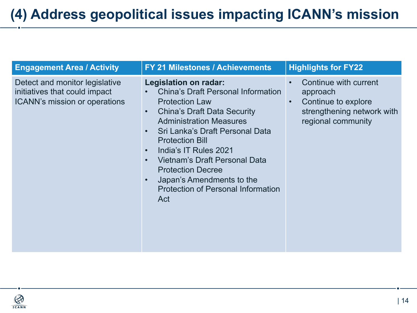#### **(4) Address geopolitical issues impacting ICANN's mission**

| <b>Engagement Area / Activity</b>                                                                | <b>FY 21 Milestones / Achievements</b>                                                                                                                                                                                                                                                                                                                                                                                                                                                       | <b>Highlights for FY22</b>                                                                                                             |
|--------------------------------------------------------------------------------------------------|----------------------------------------------------------------------------------------------------------------------------------------------------------------------------------------------------------------------------------------------------------------------------------------------------------------------------------------------------------------------------------------------------------------------------------------------------------------------------------------------|----------------------------------------------------------------------------------------------------------------------------------------|
| Detect and monitor legislative<br>initiatives that could impact<br>ICANN's mission or operations | <b>Legislation on radar:</b><br><b>China's Draft Personal Information</b><br>$\bullet$<br><b>Protection Law</b><br><b>China's Draft Data Security</b><br>$\bullet$<br><b>Administration Measures</b><br>Sri Lanka's Draft Personal Data<br>$\bullet$<br><b>Protection Bill</b><br>India's IT Rules 2021<br>$\bullet$<br>Vietnam's Draft Personal Data<br>$\bullet$<br><b>Protection Decree</b><br>Japan's Amendments to the<br>$\bullet$<br><b>Protection of Personal Information</b><br>Act | Continue with current<br>$\bullet$<br>approach<br>Continue to explore<br>$\bullet$<br>strengthening network with<br>regional community |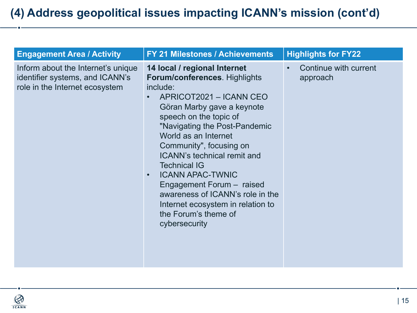| <b>Engagement Area / Activity</b>                                                                       | <b>FY 21 Milestones / Achievements</b>                                                                                                                                                                                                                                                                                                                                                                                                                                                                      | <b>Highlights for FY22</b>        |
|---------------------------------------------------------------------------------------------------------|-------------------------------------------------------------------------------------------------------------------------------------------------------------------------------------------------------------------------------------------------------------------------------------------------------------------------------------------------------------------------------------------------------------------------------------------------------------------------------------------------------------|-----------------------------------|
| Inform about the Internet's unique<br>identifier systems, and ICANN's<br>role in the Internet ecosystem | 14 local / regional Internet<br><b>Forum/conferences. Highlights</b><br>include:<br>APRICOT2021 - ICANN CEO<br>Göran Marby gave a keynote<br>speech on the topic of<br>"Navigating the Post-Pandemic<br>World as an Internet<br>Community", focusing on<br><b>ICANN's technical remit and</b><br><b>Technical IG</b><br><b>ICANN APAC-TWNIC</b><br>$\bullet$<br>Engagement Forum - raised<br>awareness of ICANN's role in the<br>Internet ecosystem in relation to<br>the Forum's theme of<br>cybersecurity | Continue with current<br>approach |